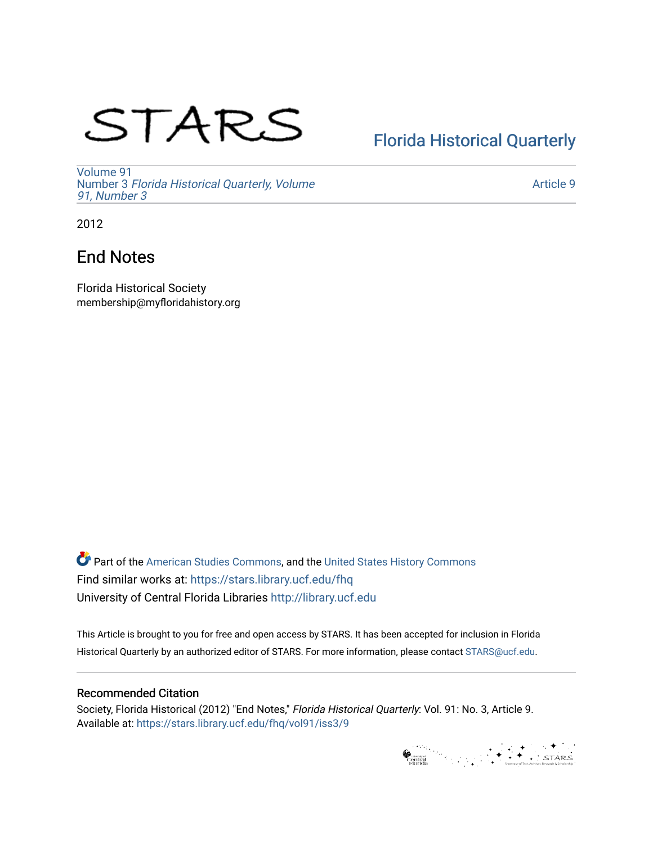# STARS

# [Florida Historical Quarterly](https://stars.library.ucf.edu/fhq)

[Volume 91](https://stars.library.ucf.edu/fhq/vol91) Number 3 [Florida Historical Quarterly, Volume](https://stars.library.ucf.edu/fhq/vol91/iss3)  [91, Number 3](https://stars.library.ucf.edu/fhq/vol91/iss3)

[Article 9](https://stars.library.ucf.edu/fhq/vol91/iss3/9) 

2012

## End Notes

Florida Historical Society membership@myfloridahistory.org

**C** Part of the [American Studies Commons](http://network.bepress.com/hgg/discipline/439?utm_source=stars.library.ucf.edu%2Ffhq%2Fvol91%2Fiss3%2F9&utm_medium=PDF&utm_campaign=PDFCoverPages), and the United States History Commons Find similar works at: <https://stars.library.ucf.edu/fhq> University of Central Florida Libraries [http://library.ucf.edu](http://library.ucf.edu/) 

This Article is brought to you for free and open access by STARS. It has been accepted for inclusion in Florida Historical Quarterly by an authorized editor of STARS. For more information, please contact [STARS@ucf.edu.](mailto:STARS@ucf.edu)

### Recommended Citation

Society, Florida Historical (2012) "End Notes," Florida Historical Quarterly: Vol. 91: No. 3, Article 9. Available at: [https://stars.library.ucf.edu/fhq/vol91/iss3/9](https://stars.library.ucf.edu/fhq/vol91/iss3/9?utm_source=stars.library.ucf.edu%2Ffhq%2Fvol91%2Fiss3%2F9&utm_medium=PDF&utm_campaign=PDFCoverPages) 

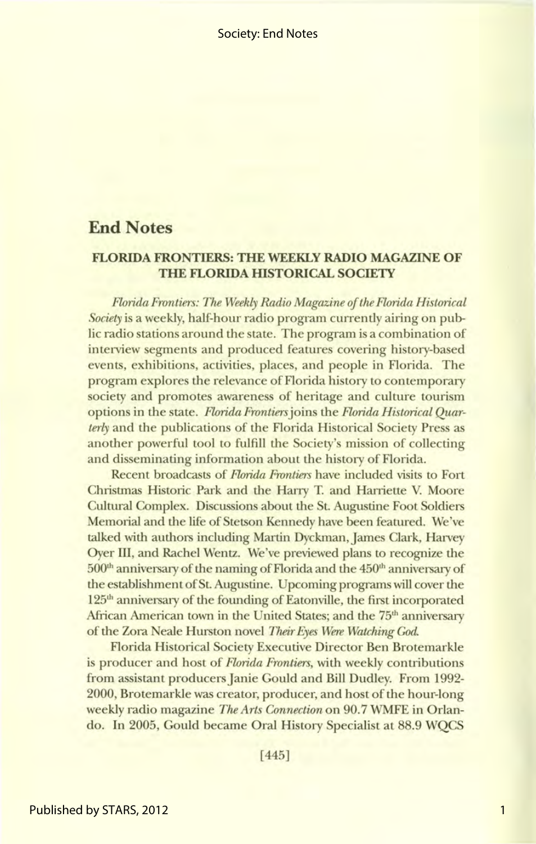## **End Notes**

#### **FLORIDA FRONTIERS: THE WEEKLY RADIO MAGAZINE OF THE FLORIDA HISTORICAL SOCIETY**

*Florida Frontiers: The Weekly Radio Magazine of the Florida Historical Society* is a weekly, half-hour radio program currently airing on public radio stations around the state. The program is a combination of interview segments and produced features covering history-based events, exhibitions, activities, places, and people in Florida. The program explores the relevance of Florida history to contemporary society and promotes awareness of heritage and culture tourism options in the state. *Florida Frontiers* joins the *Florida Historical Quarterly* and the publications of the Florida Historical Society Press as another powerful tool to fulfill the Society's mission of collecting and disseminating information about the history of Florida.

Recent broadcasts of *Florida Frontiers* have included visits to Fort Christmas Historic Park and the Harry T. and Harriette V. Moore Cultural Complex. Discussions about the St. Augustine Foot Soldiers Memorial and the life of Stetson Kennedy have been featured. We've talked with authors including Martin Dyckman, James Clark, Harvey Oyer III, and Rachel Wentz. We've previewed plans to recognize the 500<sup>th</sup> anniversary of the naming of Florida and the 450<sup>th</sup> anniversary of the establishment of St. Augustine. Upcoming programs will cover the 125<sup>th</sup> anniversary of the founding of Eatonville, the first incorporated African American town in the United States; and the 75<sup>th</sup> anniversary of the Zora Neale Hurston novel *Their Eyes Were Watching* God.

Florida Historical Society Executive Director Ben Brotemarkle is producer and host of *Florida Frontiers,* with weekly contributions from assistant producers Janie Gould and Bill Dudley. From 1992- 2000, Brotemarkle was creator, producer, and host of the hour-long weekly radio magazine *The Arts Connection* on 90. 7 WMFE in Orlando. In 2005, Gould became Oral History Specialist at 88.9 WQCS

[445]

1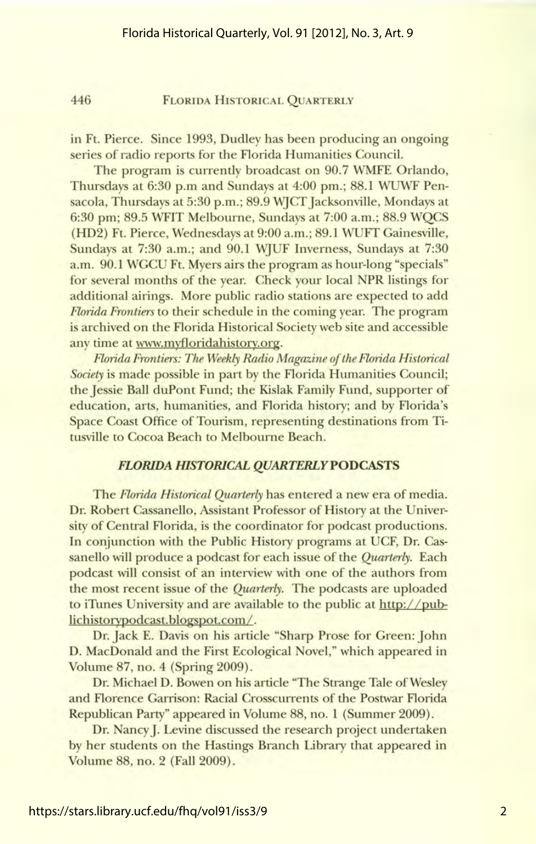#### 446 FLORIDA HISTORICAL QUARTERLY

in Ft. Pierce. Since 1993, Dudley has been producing an ongoing series of radio reports for the Florida Humanities Council.

The program is currently broadcast on 90.7 WMFE Orlando, Thursdays at 6:30 p.m and Sundays at 4:00 pm.; 88.1 WUWF Pensacola, Thursdays at 5:30 p.m.; 89.9 WJCT Jacksonville, Mondays at 6:30 pm; 89.5 WFIT Melbourne, Sundays at 7:00 a.m.; 88.9 WQCS (HD2) Ft. Pierce, Wednesdays at 9:00 a.m.; 89.1 WUFT Gainesville, Sundays at 7:30 a.m.; and 90.1 WJUF Inverness, Sundays at 7:30 a.m. 90.1 WGCU Ft. Myers airs the program as hour-long "specials" for several months of the year. Check your local NPR listings for additional airings. More public radio stations are expected to add *Florida Frontiers* to their schedule in the coming year. The program is archived on the Florida Historical Society web site and accessible any time at www.myfloridahistory.org.

*Florida Frontiers: The Weekly Radio Magazine of the Florida Historical Society* is made possible in part by the Florida Humanities Council; the Jessie Ball duPont Fund; the Kislak Family Fund, supporter of education, arts, humanities, and Florida history; and by Florida's Space Coast Office of Tourism, representing destinations from Titusville to Cocoa Beach to Melbourne Beach.

#### *FLORIDA HISTORICAL QUARTERLYPODCASTS*

The *Florida Historical Quarterly* has entered a new era of media. Dr. Robert Cassanello, Assistant Professor of History at the University of Central Florida, is the coordinator for podcast productions. In conjunction with the Public History programs at UCF, Dr. Cassanello will produce a podcast for each issue of the *Quarterly.* Each podcast will consist of an interview with one of the authors from the most recent issue of the *Quarterly.* The podcasts are uploaded to iTunes University and are available to the public at http://publichistorypodcast.blogspot.com/.

Dr. Jack E. Davis on his article "Sharp Prose for Green: John D. MacDonald and the First Ecological Novel," which appeared in Volume 87, no. 4 (Spring 2009).

Dr. Michael D. Bowen on his article "The Strange Tale of Wesley and Florence Garrison: Racial Crosscurrents of the Postwar Florida Republican Party" appeared in Volume 88, no. 1 (Summer 2009).

Dr. Nancy]. Levine discussed the research project undertaken by her students on the Hastings Branch Library that appeared in Volume 88, no. 2 (Fall 2009).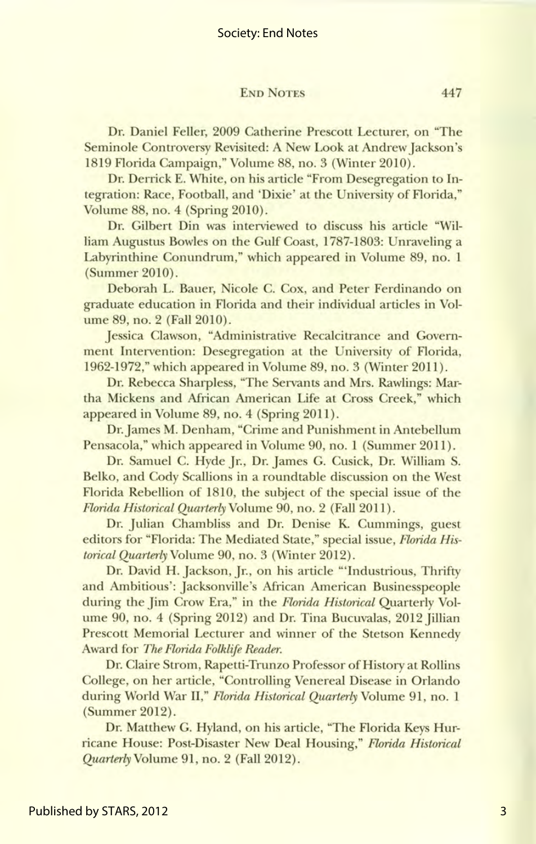#### END NOTES 447

Dr. Daniel Feller, 2009 Catherine Prescott Lecturer, on "The Seminole Controversy Revisited: A New Look at Andrew Jackson's 1819 Florida Campaign," Volume 88, no. 3 (Winter 2010).

Dr. Derrick E. White, on his article "From Desegregation to Integration: Race, Football, and 'Dixie' at the University of Florida," Volume 88, no. 4 (Spring 2010).

Dr. Gilbert Din was interviewed to discuss his article "William Augustus Bowles on the Gulf Coast, 1787-1803: Unraveling a Labyrinthine Conundrum," which appeared in Volume 89, no. 1 (Summer 2010).

Deborah L. Bauer, Nicole C. Cox, and Peter Ferdinando on graduate education in Florida and their individual articles in Volume 89, no. 2 (Fall 2010).

Jessica Clawson, "Administrative Recalcitrance and Government Intervention: Desegregation at the University of Florida, 1962-1972," which appeared in Volume 89, no. 3 (Winter 2011).

Dr. Rebecca Sharpless, "The Servants and Mrs. Rawlings: Martha Mickens and African American Life at Cross Creek," which appeared in Volume 89, no. 4 (Spring 2011).

Dr. James M. Denham, "Crime and Punishment in Antebellum Pensacola," which appeared in Volume 90, no. 1 (Summer 2011).

Dr. Samuel C. Hyde Jr., Dr. James G. Cusick, Dr. William S. Belko, and Cody Scallions in a roundtable discussion on the West Florida Rebellion of 1810, the subject of the special issue of the *Florida Historical Quarterly* Volume 90, no. 2 (Fall 2011).

Dr. Julian Chambliss and Dr. Denise K. Cummings, guest editors for "Florida: The Mediated State," special issue, *Florida Historical Quarterly* Volume 90, no. 3 (Winter 2012).

Dr. David H. Jackson, Jr., on his article "'Industrious, Thrifty and Ambitious': Jacksonville's African American Businesspeople during the Jim Crow Era," in the *Florida Historical* Quarterly Volume 90, no. 4 (Spring 2012) and Dr. Tina Bucuvalas, 2012 Jillian Prescott Memorial Lecturer and winner of the Stetson Kennedy Award for *The Florida Folklife Reader.* 

Dr. Claire Strom, Rapetti-Trunzo Professor of History at Rollins College, on her article, "Controlling Venereal Disease in Orlando during World War II," *Florida Historical Quarterly* Volume 91, no. 1 (Summer 2012).

Dr. Matthew G. Hyland, on his article, "The Florida Keys Hurricane House: Post-Disaster New Deal Housing," *Florida Historical Quarterly* Volume 91, no. 2 (Fall 2012).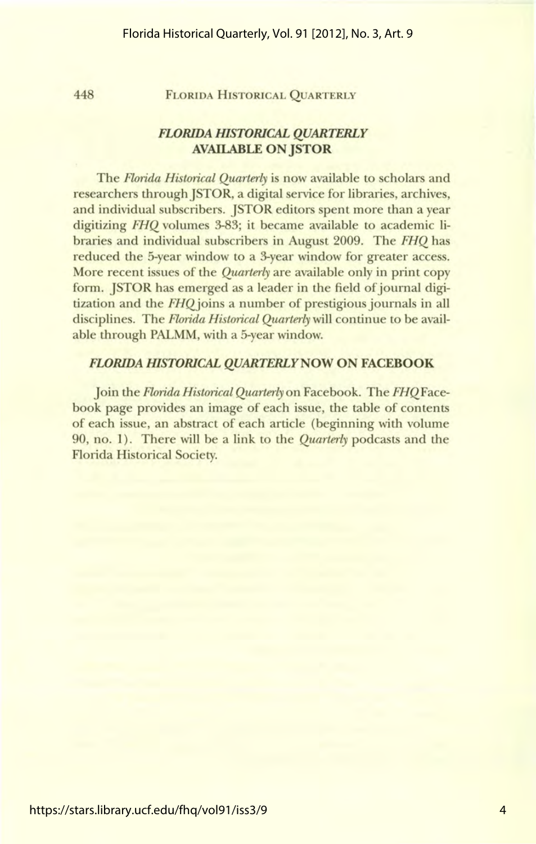#### 448 FLORIDA HISTORICAL QUARTERLY

#### *FLORIDA msTORICAL QUARTERLY*  **AVAILABLE ON JSTOR**

The *Florida Historical Quarterly* is now available to scholars and researchers through JSTOR, a digital service for libraries, archives, and individual subscribers. JSTOR editors spent more than a year digitizing *FHQ* volumes 3-83; it became available to academic libraries and individual subscribers in August 2009. The *FHQ* has reduced the 5-year window to a 3-year window for greater access. More recent issues of the *Quarterly* are available only in print copy form. JSTOR has emerged as a leader in the field of journal digitization and the *FHQjoins* a number of prestigious journals in all disciplines. The *Florida Historical Quarterly* will continue to be available through PALMM, with a 5-year window.

#### *FLORIDA filSTORICAL QUARTERLYNOW* **ON FACEBOOK**

Join the *Florida Historical Quarterly* on Facebook. The *FHQFace*book page provides an image of each issue, the table of contents of each issue, an abstract of each article (beginning with volume 90, no. 1). There will be a link to the *Quarterly* podcasts and the Florida Historical Society.